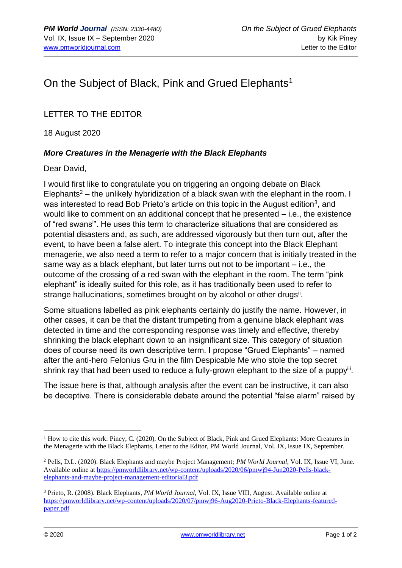## On the Subject of Black, Pink and Grued Elephants<sup>1</sup>

## LETTER TO THE EDITOR

18 August 2020

## *More Creatures in the Menagerie with the Black Elephants*

Dear David,

I would first like to congratulate you on triggering an ongoing debate on Black Elephants<sup>2</sup> – the unlikely hybridization of a black swan with the elephant in the room. I was interested to read Bob Prieto's article on this topic in the August edition<sup>3</sup>, and would like to comment on an additional concept that he presented – i.e., the existence of "red swans<sup>i</sup> ". He uses this term to characterize situations that are considered as potential disasters and, as such, are addressed vigorously but then turn out, after the event, to have been a false alert. To integrate this concept into the Black Elephant menagerie, we also need a term to refer to a major concern that is initially treated in the same way as a black elephant, but later turns out not to be important – i.e., the outcome of the crossing of a red swan with the elephant in the room. The term "pink elephant" is ideally suited for this role, as it has traditionally been used to refer to strange hallucinations, sometimes brought on by alcohol or other drugs<sup>ii</sup>.

Some situations labelled as pink elephants certainly do justify the name. However, in other cases, it can be that the distant trumpeting from a genuine black elephant was detected in time and the corresponding response was timely and effective, thereby shrinking the black elephant down to an insignificant size. This category of situation does of course need its own descriptive term. I propose "Grued Elephants" – named after the anti-hero Felonius Gru in the film Despicable Me who stole the top secret shrink ray that had been used to reduce a fully-grown elephant to the size of a puppyii.

The issue here is that, although analysis after the event can be instructive, it can also be deceptive. There is considerable debate around the potential "false alarm" raised by

<sup>&</sup>lt;sup>1</sup> How to cite this work: Piney, C. (2020). On the Subject of Black, Pink and Grued Elephants: More Creatures in the Menagerie with the Black Elephants, Letter to the Editor, PM World Journal, Vol. IX, Issue IX, September.

<sup>2</sup> Pells, D.L. (2020). Black Elephants and maybe Project Management; *PM World Journal*, Vol. IX, Issue VI, June. Available online at [https://pmworldlibrary.net/wp-content/uploads/2020/06/pmwj94-Jun2020-Pells-black](https://pmworldlibrary.net/wp-content/uploads/2020/06/pmwj94-Jun2020-Pells-black-elephants-and-maybe-project-management-editorial3.pdf)[elephants-and-maybe-project-management-editorial3.pdf](https://pmworldlibrary.net/wp-content/uploads/2020/06/pmwj94-Jun2020-Pells-black-elephants-and-maybe-project-management-editorial3.pdf)

<sup>3</sup> Prieto, R. (2008). Black Elephants, *PM World Journal*, Vol. IX, Issue VIII, August. Available online at [https://pmworldlibrary.net/wp-content/uploads/2020/07/pmwj96-Aug2020-Prieto-Black-Elephants-featured](https://pmworldlibrary.net/wp-content/uploads/2020/07/pmwj96-Aug2020-Prieto-Black-Elephants-featured-paper.pdf)[paper.pdf](https://pmworldlibrary.net/wp-content/uploads/2020/07/pmwj96-Aug2020-Prieto-Black-Elephants-featured-paper.pdf)